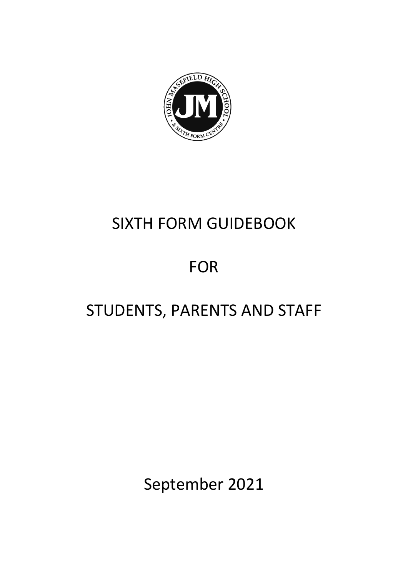

# SIXTH FORM GUIDEBOOK

# FOR

# STUDENTS, PARENTS AND STAFF

September 2021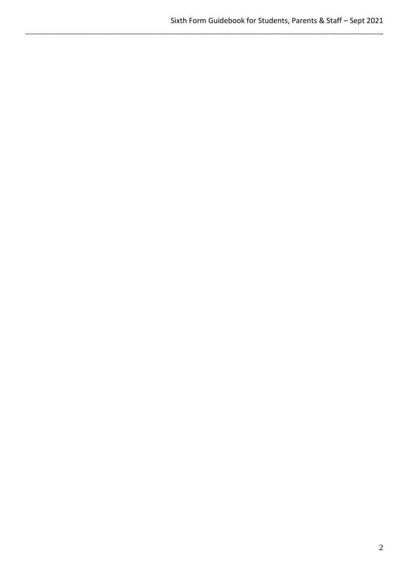\_\_\_\_\_\_\_\_\_\_\_\_\_\_\_\_\_\_\_\_\_\_\_\_\_\_\_\_\_\_\_\_\_\_\_\_\_\_\_\_\_\_\_\_\_\_\_\_\_\_\_\_\_\_\_\_\_\_\_\_\_\_\_\_\_\_\_\_\_\_\_\_\_\_\_\_\_\_\_\_\_\_\_\_\_\_\_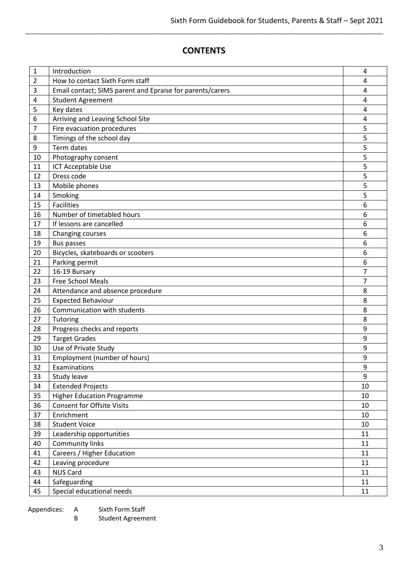## **CONTENTS**

\_\_\_\_\_\_\_\_\_\_\_\_\_\_\_\_\_\_\_\_\_\_\_\_\_\_\_\_\_\_\_\_\_\_\_\_\_\_\_\_\_\_\_\_\_\_\_\_\_\_\_\_\_\_\_\_\_\_\_\_\_\_\_\_\_\_\_\_\_\_\_\_\_\_\_\_\_\_\_\_\_\_\_\_\_\_\_

| $\mathbf 1$    | Introduction                                              | 4              |
|----------------|-----------------------------------------------------------|----------------|
| $\overline{2}$ | How to contact Sixth Form staff                           | 4              |
| 3              | Email contact; SIMS parent and Epraise for parents/carers | 4              |
| 4              | <b>Student Agreement</b>                                  | 4              |
| 5              | Key dates                                                 | 4              |
| 6              | Arriving and Leaving School Site                          | $\overline{4}$ |
| $\overline{7}$ | Fire evacuation procedures                                | 5              |
| 8              | Timings of the school day                                 | 5              |
| 9              | Term dates                                                | 5              |
| 10             | Photography consent                                       | 5              |
| 11             | ICT Acceptable Use                                        | 5              |
| 12             | Dress code                                                | 5              |
| 13             | Mobile phones                                             | 5              |
| 14             | Smoking                                                   | 5              |
| 15             | <b>Facilities</b>                                         | 6              |
| 16             | Number of timetabled hours                                | 6              |
| 17             | If lessons are cancelled                                  | 6              |
| 18             | Changing courses                                          | 6              |
| 19             | Bus passes                                                | 6              |
| 20             | Bicycles, skateboards or scooters                         | 6              |
| 21             | Parking permit                                            | 6              |
| 22             | 16-19 Bursary                                             | $\overline{7}$ |
| 23             | Free School Meals                                         | $\overline{7}$ |
| 24             | Attendance and absence procedure                          | 8              |
| 25             | <b>Expected Behaviour</b>                                 | 8              |
| 26             | Communication with students                               | 8              |
| 27             | Tutoring                                                  | 8              |
| 28             | Progress checks and reports                               | 9              |
| 29             | <b>Target Grades</b>                                      | 9              |
| 30             | Use of Private Study                                      | 9              |
| 31             | <b>Employment (number of hours)</b>                       | 9              |
| 32             | Examinations                                              | 9              |
| 33             | Study leave                                               | 9              |
| 34             | <b>Extended Projects</b>                                  | 10             |
| 35             | <b>Higher Education Programme</b>                         | 10             |
| 36             | <b>Consent for Offsite Visits</b>                         | 10             |
| 37             | Enrichment                                                | 10             |
| 38             | <b>Student Voice</b>                                      | 10             |
| 39             | Leadership opportunities                                  | 11             |
| 40             | <b>Community links</b>                                    | 11             |
| 41             | Careers / Higher Education                                | 11             |
| 42             | Leaving procedure                                         | 11             |
| 43             | <b>NUS Card</b>                                           | 11             |
| 44             | Safeguarding                                              | 11             |
| 45             | Special educational needs                                 | 11             |

Appendices: A Sixth Form Staff<br>B Student Agreem

Student Agreement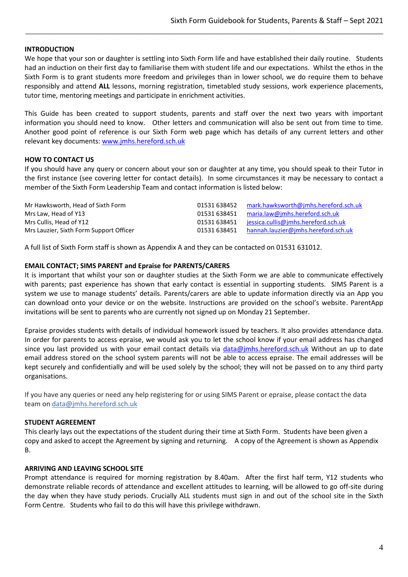#### **INTRODUCTION**

We hope that your son or daughter is settling into Sixth Form life and have established their daily routine. Students had an induction on their first day to familiarise them with student life and our expectations. Whilst the ethos in the Sixth Form is to grant students more freedom and privileges than in lower school, we do require them to behave responsibly and attend **ALL** lessons, morning registration, timetabled study sessions, work experience placements, tutor time, mentoring meetings and participate in enrichment activities.

\_\_\_\_\_\_\_\_\_\_\_\_\_\_\_\_\_\_\_\_\_\_\_\_\_\_\_\_\_\_\_\_\_\_\_\_\_\_\_\_\_\_\_\_\_\_\_\_\_\_\_\_\_\_\_\_\_\_\_\_\_\_\_\_\_\_\_\_\_\_\_\_\_\_\_\_\_\_\_\_\_\_\_\_\_\_\_

This Guide has been created to support students, parents and staff over the next two years with important information you should need to know. Other letters and communication will also be sent out from time to time. Another good point of reference is our Sixth Form web page which has details of any current letters and other relevant key documents: [www.jmhs.hereford.sch.uk](http://www.jmhs.hereford.sch.uk/)

#### **HOW TO CONTACT US**

If you should have any query or concern about your son or daughter at any time, you should speak to their Tutor in the first instance (see covering letter for contact details). In some circumstances it may be necessary to contact a member of the Sixth Form Leadership Team and contact information is listed below:

| Mr Hawksworth, Head of Sixth Form       | 01531 638452 | mark.hawksworth@jmhs.hereford.sch.uk |
|-----------------------------------------|--------------|--------------------------------------|
| Mrs Law, Head of Y13                    | 01531 638451 | maria.law@jmhs.hereford.sch.uk       |
| Mrs Cullis, Head of Y12                 | 01531 638451 | jessica.cullis@jmhs.hereford.sch.uk  |
| Mrs Lauzier, Sixth Form Support Officer | 01531 638451 | hannah.lauzier@jmhs.hereford.sch.uk  |

A full list of Sixth Form staff is shown as Appendix A and they can be contacted on 01531 631012.

#### **EMAIL CONTACT; SIMS PARENT and Epraise for PARENTS/CARERS**

It is important that whilst your son or daughter studies at the Sixth Form we are able to communicate effectively with parents; past experience has shown that early contact is essential in supporting students. SIMS Parent is a system we use to manage students' details. Parents/carers are able to update information directly via an App you can download onto your device or on the website. Instructions are provided on the school's website. ParentApp invitations will be sent to parents who are currently not signed up on Monday 21 September.

Epraise provides students with details of individual homework issued by teachers. It also provides attendance data. In order for parents to access epraise, we would ask you to let the school know if your email address has changed since you last provided us with your email contact details via [data@jmhs.hereford.sch.uk](mailto:data@jmhs.hereford.sch.uk) Without an up to date email address stored on the school system parents will not be able to access epraise. The email addresses will be kept securely and confidentially and will be used solely by the school; they will not be passed on to any third party organisations.

If you have any queries or need any help registering for or using SIMS Parent or epraise, please contact the data team on [data@jmhs.hereford.sch.uk](mailto:data@jmhs.hereford.sch.uk)

#### **STUDENT AGREEMENT**

This clearly lays out the expectations of the student during their time at Sixth Form. Students have been given a copy and asked to accept the Agreement by signing and returning. A copy of the Agreement is shown as Appendix B.

#### **ARRIVING AND LEAVING SCHOOL SITE**

Prompt attendance is required for morning registration by 8.40am. After the first half term, Y12 students who demonstrate reliable records of attendance and excellent attitudes to learning, will be allowed to go off-site during the day when they have study periods. Crucially ALL students must sign in and out of the school site in the Sixth Form Centre. Students who fail to do this will have this privilege withdrawn.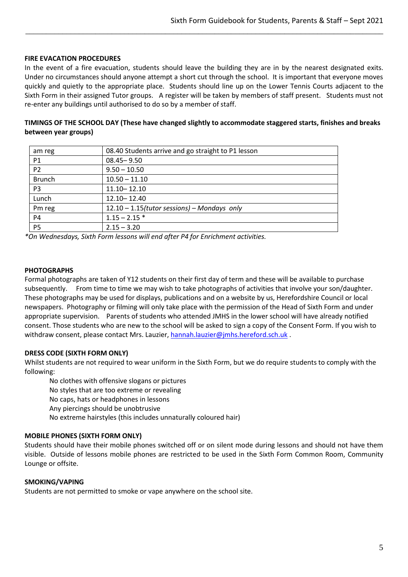#### **FIRE EVACATION PROCEDURES**

In the event of a fire evacuation, students should leave the building they are in by the nearest designated exits. Under no circumstances should anyone attempt a short cut through the school. It is important that everyone moves quickly and quietly to the appropriate place. Students should line up on the Lower Tennis Courts adjacent to the Sixth Form in their assigned Tutor groups. A register will be taken by members of staff present. Students must not re-enter any buildings until authorised to do so by a member of staff.

\_\_\_\_\_\_\_\_\_\_\_\_\_\_\_\_\_\_\_\_\_\_\_\_\_\_\_\_\_\_\_\_\_\_\_\_\_\_\_\_\_\_\_\_\_\_\_\_\_\_\_\_\_\_\_\_\_\_\_\_\_\_\_\_\_\_\_\_\_\_\_\_\_\_\_\_\_\_\_\_\_\_\_\_\_\_\_

| TIMINGS OF THE SCHOOL DAY (These have changed slightly to accommodate staggered starts, finishes and breaks |  |
|-------------------------------------------------------------------------------------------------------------|--|
| between year groups)                                                                                        |  |

| am reg         | 08.40 Students arrive and go straight to P1 lesson |
|----------------|----------------------------------------------------|
| P1             | $08.45 - 9.50$                                     |
| P <sub>2</sub> | $9.50 - 10.50$                                     |
| <b>Brunch</b>  | $10.50 - 11.10$                                    |
| P <sub>3</sub> | $11.10 - 12.10$                                    |
| Lunch          | 12.10 - 12.40                                      |
| Pm reg         | $12.10 - 1.15$ (tutor sessions) – Mondays only     |
| P4             | $1.15 - 2.15$ *                                    |
| P <sub>5</sub> | $2.15 - 3.20$                                      |

*\*On Wednesdays, Sixth Form lessons will end after P4 for Enrichment activities.*

#### **PHOTOGRAPHS**

Formal photographs are taken of Y12 students on their first day of term and these will be available to purchase subsequently. From time to time we may wish to take photographs of activities that involve your son/daughter. These photographs may be used for displays, publications and on a website by us, Herefordshire Council or local newspapers. Photography or filming will only take place with the permission of the Head of Sixth Form and under appropriate supervision. Parents of students who attended JMHS in the lower school will have already notified consent. Those students who are new to the school will be asked to sign a copy of the Consent Form. If you wish to withdraw consent, please contact Mrs. Lauzier, [hannah.lauzier@jmhs.hereford.sch.uk](mailto:hannah.lauzier@jmhs.hereford.sch.uk) .

#### **DRESS CODE (SIXTH FORM ONLY)**

Whilst students are not required to wear uniform in the Sixth Form, but we do require students to comply with the following:

No clothes with offensive slogans or pictures

- No styles that are too extreme or revealing
- No caps, hats or headphones in lessons
- Any piercings should be unobtrusive

No extreme hairstyles (this includes unnaturally coloured hair)

#### **MOBILE PHONES (SIXTH FORM ONLY)**

Students should have their mobile phones switched off or on silent mode during lessons and should not have them visible. Outside of lessons mobile phones are restricted to be used in the Sixth Form Common Room, Community Lounge or offsite.

#### **SMOKING/VAPING**

Students are not permitted to smoke or vape anywhere on the school site.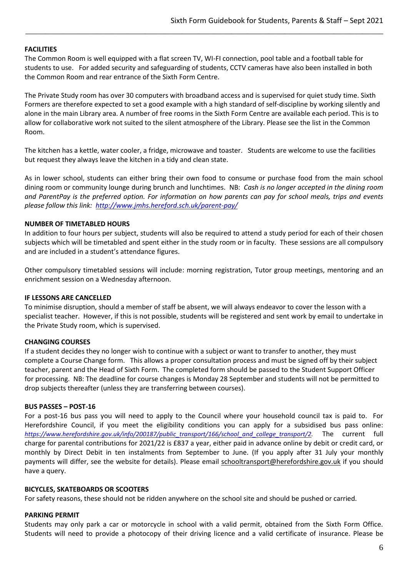#### **FACILITIES**

The Common Room is well equipped with a flat screen TV, WI-FI connection, pool table and a football table for students to use. For added security and safeguarding of students, CCTV cameras have also been installed in both the Common Room and rear entrance of the Sixth Form Centre.

\_\_\_\_\_\_\_\_\_\_\_\_\_\_\_\_\_\_\_\_\_\_\_\_\_\_\_\_\_\_\_\_\_\_\_\_\_\_\_\_\_\_\_\_\_\_\_\_\_\_\_\_\_\_\_\_\_\_\_\_\_\_\_\_\_\_\_\_\_\_\_\_\_\_\_\_\_\_\_\_\_\_\_\_\_\_\_

The Private Study room has over 30 computers with broadband access and is supervised for quiet study time. Sixth Formers are therefore expected to set a good example with a high standard of self-discipline by working silently and alone in the main Library area. A number of free rooms in the Sixth Form Centre are available each period. This is to allow for collaborative work not suited to the silent atmosphere of the Library. Please see the list in the Common Room.

The kitchen has a kettle, water cooler, a fridge, microwave and toaster. Students are welcome to use the facilities but request they always leave the kitchen in a tidy and clean state.

As in lower school, students can either bring their own food to consume or purchase food from the main school dining room or community lounge during brunch and lunchtimes. NB: *Cash is no longer accepted in the dining room and ParentPay is the preferred option. For information on how parents can pay for school meals, trips and events please follow this link:<http://www.jmhs.hereford.sch.uk/parent-pay/>*

#### **NUMBER OF TIMETABLED HOURS**

In addition to four hours per subject, students will also be required to attend a study period for each of their chosen subjects which will be timetabled and spent either in the study room or in faculty. These sessions are all compulsory and are included in a student's attendance figures.

Other compulsory timetabled sessions will include: morning registration, Tutor group meetings, mentoring and an enrichment session on a Wednesday afternoon.

#### **IF LESSONS ARE CANCELLED**

To minimise disruption, should a member of staff be absent, we will always endeavor to cover the lesson with a specialist teacher. However, if this is not possible, students will be registered and sent work by email to undertake in the Private Study room, which is supervised.

#### **CHANGING COURSES**

If a student decides they no longer wish to continue with a subject or want to transfer to another, they must complete a Course Change form. This allows a proper consultation process and must be signed off by their subject teacher, parent and the Head of Sixth Form. The completed form should be passed to the Student Support Officer for processing. NB: The deadline for course changes is Monday 28 September and students will not be permitted to drop subjects thereafter (unless they are transferring between courses).

#### **BUS PASSES – POST-16**

For a post-16 bus pass you will need to apply to the Council where your household council tax is paid to. For Herefordshire Council, if you meet the eligibility conditions you can apply for a subsidised bus pass online: *[https://www.herefordshire.gov.uk/info/200187/public\\_transport/166/school\\_and\\_college\\_transport/2.](https://www.herefordshire.gov.uk/info/200187/public_transport/166/school_and_college_transport/2)* The current full charge for parental contributions for 2021/22 is £837 a year, either paid in advance online by debit or credit card, or monthly by Direct Debit in ten instalments from September to June. (If you apply after 31 July your monthly payments will differ, see the website for details). Please email schooltransport@herefordshire.gov.uk if you should have a query.

#### **BICYCLES, SKATEBOARDS OR SCOOTERS**

For safety reasons, these should not be ridden anywhere on the school site and should be pushed or carried.

#### **PARKING PERMIT**

Students may only park a car or motorcycle in school with a valid permit, obtained from the Sixth Form Office. Students will need to provide a photocopy of their driving licence and a valid certificate of insurance. Please be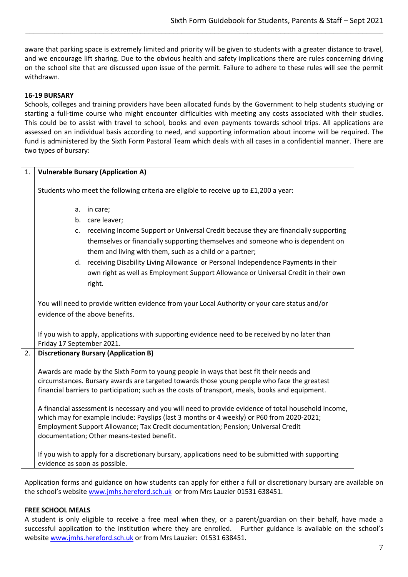aware that parking space is extremely limited and priority will be given to students with a greater distance to travel, and we encourage lift sharing. Due to the obvious health and safety implications there are rules concerning driving on the school site that are discussed upon issue of the permit. Failure to adhere to these rules will see the permit withdrawn.

\_\_\_\_\_\_\_\_\_\_\_\_\_\_\_\_\_\_\_\_\_\_\_\_\_\_\_\_\_\_\_\_\_\_\_\_\_\_\_\_\_\_\_\_\_\_\_\_\_\_\_\_\_\_\_\_\_\_\_\_\_\_\_\_\_\_\_\_\_\_\_\_\_\_\_\_\_\_\_\_\_\_\_\_\_\_\_

#### **16-19 BURSARY**

Schools, colleges and training providers have been allocated funds by the Government to help students studying or starting a full-time course who might encounter difficulties with meeting any costs associated with their studies. This could be to assist with travel to school, books and even payments towards school trips. All applications are assessed on an individual basis according to need, and supporting information about income will be required. The fund is administered by the Sixth Form Pastoral Team which deals with all cases in a confidential manner. There are two types of bursary:

| 1. | <b>Vulnerable Bursary (Application A)</b>                                                                                                                                                                                                                                                                                                                                                                                                                                                                                                                                                                                                                                           |
|----|-------------------------------------------------------------------------------------------------------------------------------------------------------------------------------------------------------------------------------------------------------------------------------------------------------------------------------------------------------------------------------------------------------------------------------------------------------------------------------------------------------------------------------------------------------------------------------------------------------------------------------------------------------------------------------------|
|    | Students who meet the following criteria are eligible to receive up to £1,200 a year:                                                                                                                                                                                                                                                                                                                                                                                                                                                                                                                                                                                               |
|    | in care;<br>а.<br>b. care leaver;<br>c. receiving Income Support or Universal Credit because they are financially supporting<br>themselves or financially supporting themselves and someone who is dependent on<br>them and living with them, such as a child or a partner;<br>d. receiving Disability Living Allowance or Personal Independence Payments in their<br>own right as well as Employment Support Allowance or Universal Credit in their own<br>right.                                                                                                                                                                                                                  |
|    | You will need to provide written evidence from your Local Authority or your care status and/or<br>evidence of the above benefits.<br>If you wish to apply, applications with supporting evidence need to be received by no later than<br>Friday 17 September 2021.                                                                                                                                                                                                                                                                                                                                                                                                                  |
| 2. | <b>Discretionary Bursary (Application B)</b><br>Awards are made by the Sixth Form to young people in ways that best fit their needs and<br>circumstances. Bursary awards are targeted towards those young people who face the greatest<br>financial barriers to participation; such as the costs of transport, meals, books and equipment.<br>A financial assessment is necessary and you will need to provide evidence of total household income,<br>which may for example include: Payslips (last 3 months or 4 weekly) or P60 from 2020-2021;<br>Employment Support Allowance; Tax Credit documentation; Pension; Universal Credit<br>documentation; Other means-tested benefit. |
|    | If you wish to apply for a discretionary bursary, applications need to be submitted with supporting<br>evidence as soon as possible.                                                                                                                                                                                                                                                                                                                                                                                                                                                                                                                                                |

Application forms and guidance on how students can apply for either a full or discretionary bursary are available on the school's website [www.jmhs.hereford.sch.uk](http://www.jmhs.hereford.sch.uk/) or from Mrs Lauzier 01531 638451.

#### **FREE SCHOOL MEALS**

A student is only eligible to receive a free meal when they, or a parent/guardian on their behalf, have made a successful application to the institution where they are enrolled. Further guidance is available on the school's websit[e www.jmhs.hereford.sch.uk](http://www.jmhs.hereford.sch.uk/) or from Mrs Lauzier: 01531 638451.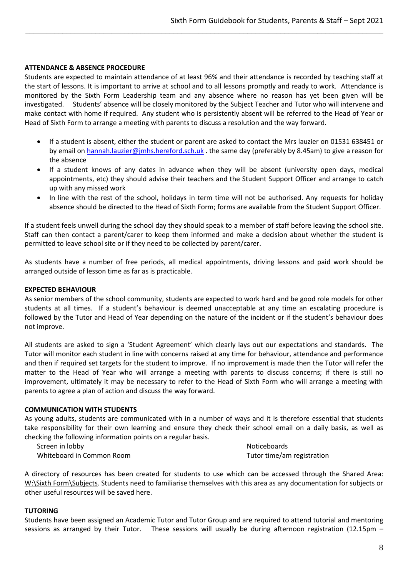#### **ATTENDANCE & ABSENCE PROCEDURE**

Students are expected to maintain attendance of at least 96% and their attendance is recorded by teaching staff at the start of lessons. It is important to arrive at school and to all lessons promptly and ready to work. Attendance is monitored by the Sixth Form Leadership team and any absence where no reason has yet been given will be investigated. Students' absence will be closely monitored by the Subject Teacher and Tutor who will intervene and make contact with home if required. Any student who is persistently absent will be referred to the Head of Year or Head of Sixth Form to arrange a meeting with parents to discuss a resolution and the way forward.

\_\_\_\_\_\_\_\_\_\_\_\_\_\_\_\_\_\_\_\_\_\_\_\_\_\_\_\_\_\_\_\_\_\_\_\_\_\_\_\_\_\_\_\_\_\_\_\_\_\_\_\_\_\_\_\_\_\_\_\_\_\_\_\_\_\_\_\_\_\_\_\_\_\_\_\_\_\_\_\_\_\_\_\_\_\_\_

- If a student is absent, either the student or parent are asked to contact the Mrs lauzier on 01531 638451 or by email o[n hannah.lauzier@jmhs.hereford.sch.uk](mailto:hannah.lauzier@jmhs.hereford.sch.uk) . the same day (preferably by 8.45am) to give a reason for the absence
- If a student knows of any dates in advance when they will be absent (university open days, medical appointments, etc) they should advise their teachers and the Student Support Officer and arrange to catch up with any missed work
- In line with the rest of the school, holidays in term time will not be authorised. Any requests for holiday absence should be directed to the Head of Sixth Form; forms are available from the Student Support Officer.

If a student feels unwell during the school day they should speak to a member of staff before leaving the school site. Staff can then contact a parent/carer to keep them informed and make a decision about whether the student is permitted to leave school site or if they need to be collected by parent/carer.

As students have a number of free periods, all medical appointments, driving lessons and paid work should be arranged outside of lesson time as far as is practicable.

#### **EXPECTED BEHAVIOUR**

As senior members of the school community, students are expected to work hard and be good role models for other students at all times. If a student's behaviour is deemed unacceptable at any time an escalating procedure is followed by the Tutor and Head of Year depending on the nature of the incident or if the student's behaviour does not improve.

All students are asked to sign a 'Student Agreement' which clearly lays out our expectations and standards. The Tutor will monitor each student in line with concerns raised at any time for behaviour, attendance and performance and then if required set targets for the student to improve. If no improvement is made then the Tutor will refer the matter to the Head of Year who will arrange a meeting with parents to discuss concerns; if there is still no improvement, ultimately it may be necessary to refer to the Head of Sixth Form who will arrange a meeting with parents to agree a plan of action and discuss the way forward.

#### **COMMUNICATION WITH STUDENTS**

As young adults, students are communicated with in a number of ways and it is therefore essential that students take responsibility for their own learning and ensure they check their school email on a daily basis, as well as checking the following information points on a regular basis.

Screen in lobby Noticeboards and the Screen in lobby Noticeboards and the Noticeboards of the Noticeboards and the Noticeboards of the Noticeboards and the Noticeboards of the Noticeboards and the Noticeboards of the Notic Whiteboard in Common Room Tutor time/am registration

A directory of resources has been created for students to use which can be accessed through the Shared Area: W:\Sixth Form\Subjects. Students need to familiarise themselves with this area as any documentation for subjects or other useful resources will be saved here.

#### **TUTORING**

Students have been assigned an Academic Tutor and Tutor Group and are required to attend tutorial and mentoring sessions as arranged by their Tutor. These sessions will usually be during afternoon registration (12.15pm –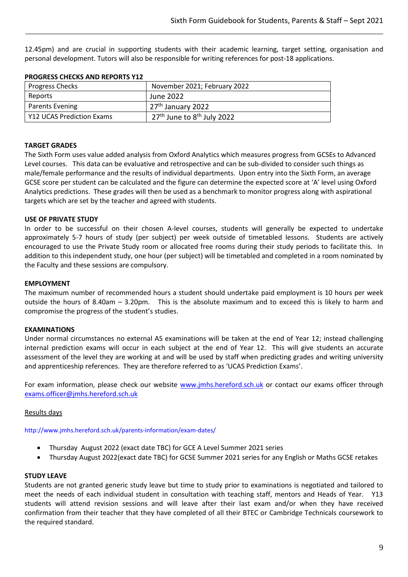12.45pm) and are crucial in supporting students with their academic learning, target setting, organisation and personal development. Tutors will also be responsible for writing references for post-18 applications.

\_\_\_\_\_\_\_\_\_\_\_\_\_\_\_\_\_\_\_\_\_\_\_\_\_\_\_\_\_\_\_\_\_\_\_\_\_\_\_\_\_\_\_\_\_\_\_\_\_\_\_\_\_\_\_\_\_\_\_\_\_\_\_\_\_\_\_\_\_\_\_\_\_\_\_\_\_\_\_\_\_\_\_\_\_\_\_

| <b>Progress Checks</b>    | November 2021; February 2022                       |  |
|---------------------------|----------------------------------------------------|--|
| Reports                   | June 2022                                          |  |
| <b>Parents Evening</b>    | 27 <sup>th</sup> January 2022                      |  |
| Y12 UCAS Prediction Exams | 27 <sup>th</sup> June to 8 <sup>th</sup> July 2022 |  |

#### **PROGRESS CHECKS AND REPORTS Y12**

#### **TARGET GRADES**

The Sixth Form uses value added analysis from Oxford Analytics which measures progress from GCSEs to Advanced Level courses. This data can be evaluative and retrospective and can be sub-divided to consider such things as male/female performance and the results of individual departments. Upon entry into the Sixth Form, an average GCSE score per student can be calculated and the figure can determine the expected score at 'A' level using Oxford Analytics predictions. These grades will then be used as a benchmark to monitor progress along with aspirational targets which are set by the teacher and agreed with students.

#### **USE OF PRIVATE STUDY**

In order to be successful on their chosen A-level courses, students will generally be expected to undertake approximately 5-7 hours of study (per subject) per week outside of timetabled lessons. Students are actively encouraged to use the Private Study room or allocated free rooms during their study periods to facilitate this. In addition to this independent study, one hour (per subject) will be timetabled and completed in a room nominated by the Faculty and these sessions are compulsory.

#### **EMPLOYMENT**

The maximum number of recommended hours a student should undertake paid employment is 10 hours per week outside the hours of 8.40am – 3.20pm. This is the absolute maximum and to exceed this is likely to harm and compromise the progress of the student's studies.

#### **EXAMINATIONS**

Under normal circumstances no external AS examinations will be taken at the end of Year 12; instead challenging internal prediction exams will occur in each subject at the end of Year 12. This will give students an accurate assessment of the level they are working at and will be used by staff when predicting grades and writing university and apprenticeship references. They are therefore referred to as 'UCAS Prediction Exams'.

For exam information, please check our website [www.jmhs.hereford.sch.uk](http://www.jmhs.hereford.sch.uk/) or contact our exams officer through [exams.officer@jmhs.hereford.sch.uk](mailto:exams.officer@jmhs.hereford.sch.uk)

#### Results days

<http://www.jmhs.hereford.sch.uk/parents-information/exam-dates/>

- Thursday August 2022 (exact date TBC) for GCE A Level Summer 2021 series
- Thursday August 2022(exact date TBC) for GCSE Summer 2021 series for any English or Maths GCSE retakes

### **STUDY LEAVE**

Students are not granted generic study leave but time to study prior to examinations is negotiated and tailored to meet the needs of each individual student in consultation with teaching staff, mentors and Heads of Year. Y13 students will attend revision sessions and will leave after their last exam and/or when they have received confirmation from their teacher that they have completed of all their BTEC or Cambridge Technicals coursework to the required standard.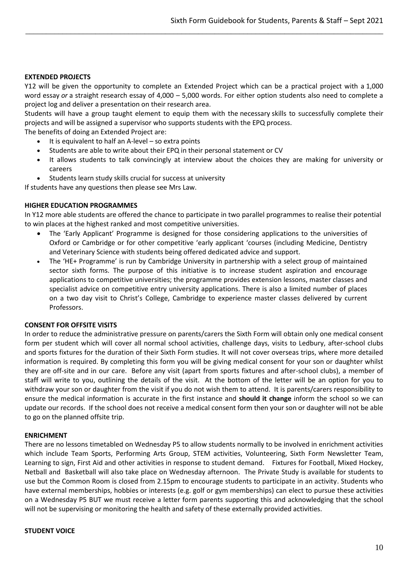#### **EXTENDED PROJECTS**

Y12 will be given the opportunity to complete an Extended Project which can be a practical project with a 1,000 word essay *or* a straight research essay of 4,000 – 5,000 words. For either option students also need to complete a project log and deliver a presentation on their research area.

\_\_\_\_\_\_\_\_\_\_\_\_\_\_\_\_\_\_\_\_\_\_\_\_\_\_\_\_\_\_\_\_\_\_\_\_\_\_\_\_\_\_\_\_\_\_\_\_\_\_\_\_\_\_\_\_\_\_\_\_\_\_\_\_\_\_\_\_\_\_\_\_\_\_\_\_\_\_\_\_\_\_\_\_\_\_\_

Students will have a group taught element to equip them with the necessary skills to successfully complete their projects and will be assigned a supervisor who supports students with the EPQ process.

The benefits of doing an Extended Project are:

- It is equivalent to half an  $A$ -level so extra points
- Students are able to write about their EPQ in their personal statement or CV
- It allows students to talk convincingly at interview about the choices they are making for university or careers
- Students learn study skills crucial for success at university

If students have any questions then please see Mrs Law.

#### **HIGHER EDUCATION PROGRAMMES**

In Y12 more able students are offered the chance to participate in two parallel programmes to realise their potential to win places at the highest ranked and most competitive universities.

- The 'Early Applicant' Programme is designed for those considering applications to the universities of Oxford or Cambridge or for other competitive 'early applicant 'courses (including Medicine, Dentistry and Veterinary Science with students being offered dedicated advice and support.
- The 'HE+ Programme' is run by Cambridge University in partnership with a select group of maintained sector sixth forms. The purpose of this initiative is to increase student aspiration and encourage applications to competitive universities; the programme provides extension lessons, master classes and specialist advice on competitive entry university applications. There is also a limited number of places on a two day visit to Christ's College, Cambridge to experience master classes delivered by current Professors.

#### **CONSENT FOR OFFSITE VISITS**

In order to reduce the administrative pressure on parents/carers the Sixth Form will obtain only one medical consent form per student which will cover all normal school activities, challenge days, visits to Ledbury, after-school clubs and sports fixtures for the duration of their Sixth Form studies. It will not cover overseas trips, where more detailed information is required. By completing this form you will be giving medical consent for your son or daughter whilst they are off-site and in our care. Before any visit (apart from sports fixtures and after-school clubs), a member of staff will write to you, outlining the details of the visit. At the bottom of the letter will be an option for you to withdraw your son or daughter from the visit if you do not wish them to attend. It is parents/carers responsibility to ensure the medical information is accurate in the first instance and **should it change** inform the school so we can update our records. If the school does not receive a medical consent form then your son or daughter will not be able to go on the planned offsite trip.

#### **ENRICHMENT**

There are no lessons timetabled on Wednesday P5 to allow students normally to be involved in enrichment activities which include Team Sports, Performing Arts Group, STEM activities, Volunteering, Sixth Form Newsletter Team, Learning to sign, First Aid and other activities in response to student demand. Fixtures for Football, Mixed Hockey, Netball and Basketball will also take place on Wednesday afternoon. The Private Study is available for students to use but the Common Room is closed from 2.15pm to encourage students to participate in an activity. Students who have external memberships, hobbies or interests (e.g. golf or gym memberships) can elect to pursue these activities on a Wednesday P5 BUT we must receive a letter form parents supporting this and acknowledging that the school will not be supervising or monitoring the health and safety of these externally provided activities.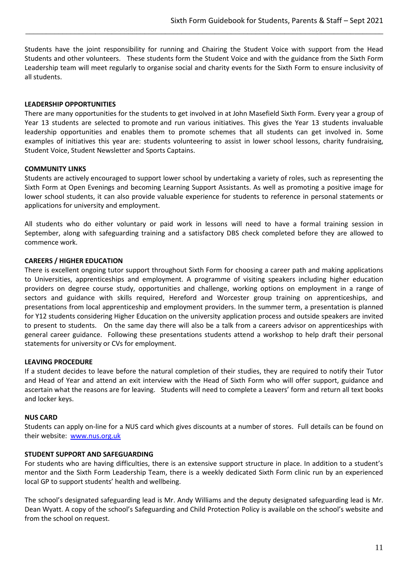Students have the joint responsibility for running and Chairing the Student Voice with support from the Head Students and other volunteers. These students form the Student Voice and with the guidance from the Sixth Form Leadership team will meet regularly to organise social and charity events for the Sixth Form to ensure inclusivity of all students.

\_\_\_\_\_\_\_\_\_\_\_\_\_\_\_\_\_\_\_\_\_\_\_\_\_\_\_\_\_\_\_\_\_\_\_\_\_\_\_\_\_\_\_\_\_\_\_\_\_\_\_\_\_\_\_\_\_\_\_\_\_\_\_\_\_\_\_\_\_\_\_\_\_\_\_\_\_\_\_\_\_\_\_\_\_\_\_

#### **LEADERSHIP OPPORTUNITIES**

There are many opportunities for the students to get involved in at John Masefield Sixth Form. Every year a group of Year 13 students are selected to promote and run various initiatives. This gives the Year 13 students invaluable leadership opportunities and enables them to promote schemes that all students can get involved in. Some examples of initiatives this year are: students volunteering to assist in lower school lessons, charity fundraising, Student Voice, Student Newsletter and Sports Captains.

#### **COMMUNITY LINKS**

Students are actively encouraged to support lower school by undertaking a variety of roles, such as representing the Sixth Form at Open Evenings and becoming Learning Support Assistants. As well as promoting a positive image for lower school students, it can also provide valuable experience for students to reference in personal statements or applications for university and employment.

All students who do either voluntary or paid work in lessons will need to have a formal training session in September, along with safeguarding training and a satisfactory DBS check completed before they are allowed to commence work.

#### **CAREERS / HIGHER EDUCATION**

There is excellent ongoing tutor support throughout Sixth Form for choosing a career path and making applications to Universities, apprenticeships and employment. A programme of visiting speakers including higher education providers on degree course study, opportunities and challenge, working options on employment in a range of sectors and guidance with skills required, Hereford and Worcester group training on apprenticeships, and presentations from local apprenticeship and employment providers. In the summer term, a presentation is planned for Y12 students considering Higher Education on the university application process and outside speakers are invited to present to students. On the same day there will also be a talk from a careers advisor on apprenticeships with general career guidance. Following these presentations students attend a workshop to help draft their personal statements for university or CVs for employment.

#### **LEAVING PROCEDURE**

If a student decides to leave before the natural completion of their studies, they are required to notify their Tutor and Head of Year and attend an exit interview with the Head of Sixth Form who will offer support, guidance and ascertain what the reasons are for leaving. Students will need to complete a Leavers' form and return all text books and locker keys.

#### **NUS CARD**

Students can apply on-line for a NUS card which gives discounts at a number of stores. Full details can be found on their website: [www.nus.org.uk](http://www.nus.org.uk/)

#### **STUDENT SUPPORT AND SAFEGUARDING**

For students who are having difficulties, there is an extensive support structure in place. In addition to a student's mentor and the Sixth Form Leadership Team, there is a weekly dedicated Sixth Form clinic run by an experienced local GP to support students' health and wellbeing.

The school's designated safeguarding lead is Mr. Andy Williams and the deputy designated safeguarding lead is Mr. Dean Wyatt. A copy of the school's Safeguarding and Child Protection Policy is available on the school's website and from the school on request.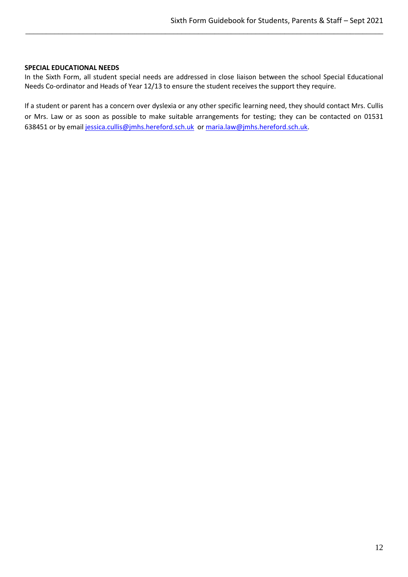#### **SPECIAL EDUCATIONAL NEEDS**

In the Sixth Form, all student special needs are addressed in close liaison between the school Special Educational Needs Co-ordinator and Heads of Year 12/13 to ensure the student receives the support they require.

\_\_\_\_\_\_\_\_\_\_\_\_\_\_\_\_\_\_\_\_\_\_\_\_\_\_\_\_\_\_\_\_\_\_\_\_\_\_\_\_\_\_\_\_\_\_\_\_\_\_\_\_\_\_\_\_\_\_\_\_\_\_\_\_\_\_\_\_\_\_\_\_\_\_\_\_\_\_\_\_\_\_\_\_\_\_\_

If a student or parent has a concern over dyslexia or any other specific learning need, they should contact Mrs. Cullis or Mrs. Law or as soon as possible to make suitable arrangements for testing; they can be contacted on 01531 638451 or by email [jessica.cullis@jmhs.hereford.sch.uk](mailto:jessica.cullis@jmhs.hereford.sch.uk) or [maria.law@jmhs.hereford.sch.uk.](mailto:maria.law@jmhs.hereford.sch.uk)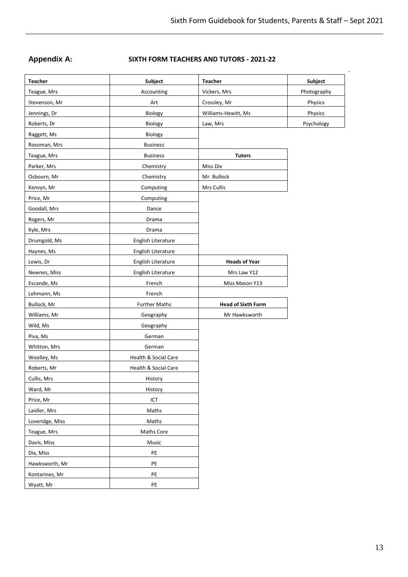# **Appendix A: SIXTH FORM TEACHERS AND TUTORS - 2021-22**

\_\_\_\_\_\_\_\_\_\_\_\_\_\_\_\_\_\_\_\_\_\_\_\_\_\_\_\_\_\_\_\_\_\_\_\_\_\_\_\_\_\_\_\_\_\_\_\_\_\_\_\_\_\_\_\_\_\_\_\_\_\_\_\_\_\_\_\_\_\_\_\_\_\_\_\_\_\_\_\_\_\_\_\_\_\_\_

| <b>Teacher</b>  | Subject                         | <b>Teacher</b>            | Subject     |
|-----------------|---------------------------------|---------------------------|-------------|
| Teague, Mrs     | Accounting                      | Vickers, Mrs              | Photography |
| Stevenson, Mr   | Art                             | Crossley, Mr              | Physics     |
| Jennings, Dr    | Biology                         | Williams-Hewitt, Ms       | Physics     |
| Roberts, Dr     | Biology                         | Law, Mrs                  | Psychology  |
| Raggett, Ms     | Biology                         |                           |             |
| Rosoman, Mrs    | <b>Business</b>                 |                           |             |
| Teague, Mrs     | <b>Business</b>                 | <b>Tutors</b>             |             |
| Parker, Mrs     | Chemistry                       | Miss Dix                  |             |
| Osbourn, Mr     | Chemistry                       | Mr. Bullock               |             |
| Kenvyn, Mr      | Computing                       | Mrs Cullis                |             |
| Price, Mr       | Computing                       |                           |             |
| Goodall, Mrs    | Dance                           |                           |             |
| Rogers, Mr      | Drama                           |                           |             |
| Kyle, Mrs       | Drama                           |                           |             |
| Drumgold, Ms    | English Literature              |                           |             |
| Haynes, Ms      | English Literature              |                           |             |
| Lewis, Dr       | English Literature              | <b>Heads of Year</b>      |             |
| Newnes, Miss    | English Literature              | Mrs Law Y12               |             |
| Escande, Ms     | French                          | Miss Mason Y13            |             |
| Lehmann, Ms     | French                          |                           |             |
| Bullock, Mr     | <b>Further Maths</b>            | <b>Head of Sixth Form</b> |             |
| Williams, Mr    | Geography                       | Mr Hawksworth             |             |
| Wild, Ms        | Geography                       |                           |             |
| Piva, Ms        | German                          |                           |             |
| Whitton, Mrs    | German                          |                           |             |
| Woolley, Ms     | Health & Social Care            |                           |             |
| Roberts, Mr     | <b>Health &amp; Social Care</b> |                           |             |
| Cullis, Mrs     | History                         |                           |             |
| Ward, Mr        | History                         |                           |             |
| Price, Mr       | ICT                             |                           |             |
| Laidler, Mrs    | Maths                           |                           |             |
| Loveridge, Miss | Maths                           |                           |             |
| Teague, Mrs     | Maths Core                      |                           |             |
| Davis, Miss     | Music                           |                           |             |
| Dix, Miss       | PE                              |                           |             |
| Hawksworth, Mr  | PE                              |                           |             |
| Kontarines, Mr  | $\mathsf{PE}$                   |                           |             |
| Wyatt, Mr       | $\mathsf{PE}$                   |                           |             |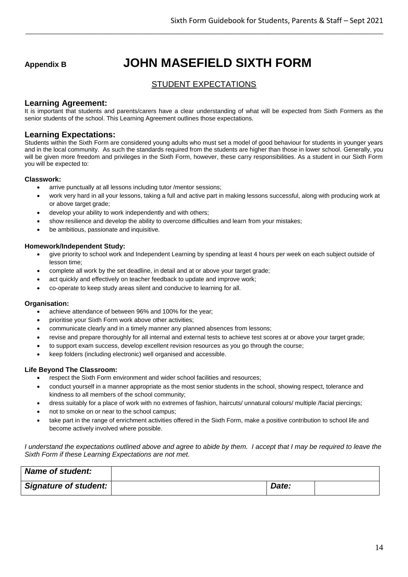# **Appendix B JOHN MASEFIELD SIXTH FORM**

### STUDENT EXPECTATIONS

\_\_\_\_\_\_\_\_\_\_\_\_\_\_\_\_\_\_\_\_\_\_\_\_\_\_\_\_\_\_\_\_\_\_\_\_\_\_\_\_\_\_\_\_\_\_\_\_\_\_\_\_\_\_\_\_\_\_\_\_\_\_\_\_\_\_\_\_\_\_\_\_\_\_\_\_\_\_\_\_\_\_\_\_\_\_\_

### **Learning Agreement:**

It is important that students and parents/carers have a clear understanding of what will be expected from Sixth Formers as the senior students of the school. This Learning Agreement outlines those expectations.

### **Learning Expectations:**

Students within the Sixth Form are considered young adults who must set a model of good behaviour for students in younger years and in the local community. As such the standards required from the students are higher than those in lower school. Generally, you will be given more freedom and privileges in the Sixth Form, however, these carry responsibilities. As a student in our Sixth Form you will be expected to:

#### **Classwork:**

- arrive punctually at all lessons including tutor /mentor sessions;
- work very hard in all your lessons, taking a full and active part in making lessons successful, along with producing work at or above target grade;
- develop your ability to work independently and with others;
- show resilience and develop the ability to overcome difficulties and learn from your mistakes;
- be ambitious, passionate and inquisitive.

#### **Homework/Independent Study:**

- give priority to school work and Independent Learning by spending at least 4 hours per week on each subject outside of lesson time;
- complete all work by the set deadline, in detail and at or above your target grade;
- act quickly and effectively on teacher feedback to update and improve work;
- co-operate to keep study areas silent and conducive to learning for all.

#### **Organisation:**

- achieve attendance of between 96% and 100% for the year;
- prioritise your Sixth Form work above other activities;
- communicate clearly and in a timely manner any planned absences from lessons;
- revise and prepare thoroughly for all internal and external tests to achieve test scores at or above your target grade;
- to support exam success, develop excellent revision resources as you go through the course;
- keep folders (including electronic) well organised and accessible.

#### **Life Beyond The Classroom:**

- respect the Sixth Form environment and wider school facilities and resources;
- conduct yourself in a manner appropriate as the most senior students in the school, showing respect, tolerance and kindness to all members of the school community;
- dress suitably for a place of work with no extremes of fashion, haircuts/ unnatural colours/ multiple /facial piercings;
- not to smoke on or near to the school campus;
- take part in the range of enrichment activities offered in the Sixth Form, make a positive contribution to school life and become actively involved where possible.

*I understand the expectations outlined above and agree to abide by them. I accept that I may be required to leave the Sixth Form if these Learning Expectations are not met.*

| <b>Name of student:</b> |       |  |
|-------------------------|-------|--|
| Signature of student:   | Date: |  |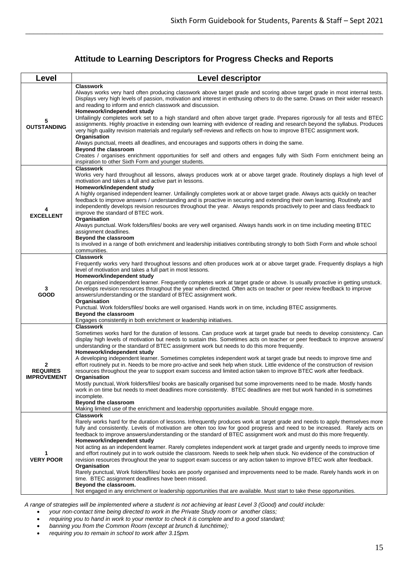## **Attitude to Learning Descriptors for Progress Checks and Reports**

\_\_\_\_\_\_\_\_\_\_\_\_\_\_\_\_\_\_\_\_\_\_\_\_\_\_\_\_\_\_\_\_\_\_\_\_\_\_\_\_\_\_\_\_\_\_\_\_\_\_\_\_\_\_\_\_\_\_\_\_\_\_\_\_\_\_\_\_\_\_\_\_\_\_\_\_\_\_\_\_\_\_\_\_\_\_\_

| Level                                      | Level descriptor                                                                                                                                                                                                                                                                                                                                                                                                                                                                                                                                                                                                                                                                                                                                                                                                                                                                                                                                                                                                                                                                                                                                                                                        |
|--------------------------------------------|---------------------------------------------------------------------------------------------------------------------------------------------------------------------------------------------------------------------------------------------------------------------------------------------------------------------------------------------------------------------------------------------------------------------------------------------------------------------------------------------------------------------------------------------------------------------------------------------------------------------------------------------------------------------------------------------------------------------------------------------------------------------------------------------------------------------------------------------------------------------------------------------------------------------------------------------------------------------------------------------------------------------------------------------------------------------------------------------------------------------------------------------------------------------------------------------------------|
| 5<br><b>OUTSTANDING</b>                    | <b>Classwork</b><br>Always works very hard often producing classwork above target grade and scoring above target grade in most internal tests.<br>Displays very high levels of passion, motivation and interest in enthusing others to do the same. Draws on their wider research<br>and reading to inform and enrich classwork and discussion.<br>Homework/independent study<br>Unfailingly completes work set to a high standard and often above target grade. Prepares rigorously for all tests and BTEC<br>assignments. Highly proactive in extending own learning with evidence of reading and research beyond the syllabus. Produces<br>very high quality revision materials and regularly self-reviews and reflects on how to improve BTEC assignment work.<br>Organisation<br>Always punctual, meets all deadlines, and encourages and supports others in doing the same.<br>Beyond the classroom<br>Creates / organises enrichment opportunities for self and others and engages fully with Sixth Form enrichment being an                                                                                                                                                                     |
| 4<br><b>EXCELLENT</b>                      | inspiration to other Sixth Form and younger students.<br><b>Classwork</b><br>Works very hard throughout all lessons, always produces work at or above target grade. Routinely displays a high level of<br>motivation and takes a full and active part in lessons.<br>Homework/independent study<br>A highly organised independent learner. Unfailingly completes work at or above target grade. Always acts quickly on teacher<br>feedback to improve answers / understanding and is proactive in securing and extending their own learning. Routinely and<br>independently develops revision resources throughout the year. Always responds proactively to peer and class feedback to<br>improve the standard of BTEC work.<br>Organisation<br>Always punctual. Work folders/files/books are very well organised. Always hands work in on time including meeting BTEC<br>assignment deadlines.<br>Beyond the classroom<br>Is involved in a range of both enrichment and leadership initiatives contributing strongly to both Sixth Form and whole school<br>communities.                                                                                                                               |
| 3<br><b>GOOD</b>                           | <b>Classwork</b><br>Frequently works very hard throughout lessons and often produces work at or above target grade. Frequently displays a high<br>level of motivation and takes a full part in most lessons.<br>Homework/independent study<br>An organised independent learner. Frequently completes work at target grade or above. Is usually proactive in getting unstuck.<br>Develops revision resources throughout the year when directed. Often acts on teacher or peer review feedback to improve<br>answers/understanding or the standard of BTEC assignment work.<br>Organisation<br>Punctual. Work folders/files/ books are well organised. Hands work in on time, including BTEC assignments.<br>Beyond the classroom<br>Engages consistently in both enrichment or leadership initiatives.                                                                                                                                                                                                                                                                                                                                                                                                   |
| 2<br><b>REQUIRES</b><br><b>IMPROVEMENT</b> | <b>Classwork</b><br>Sometimes works hard for the duration of lessons. Can produce work at target grade but needs to develop consistency. Can<br>display high levels of motivation but needs to sustain this. Sometimes acts on teacher or peer feedback to improve answers/<br>understanding or the standard of BTEC assignment work but needs to do this more frequently.<br>Homework/independent study<br>A developing independent learner. Sometimes completes independent work at target grade but needs to improve time and<br>effort routinely put in. Needs to be more pro-active and seek help when stuck. Little evidence of the construction of revision<br>resources throughout the year to support exam success and limited action taken to improve BTEC work after feedback.<br>Organisation<br>Mostly punctual, Work folders/files/ books are basically organised but some improvements need to be made. Mostly hands<br>work in on time but needs to meet deadlines more consistently. BTEC deadlines are met but work handed in is sometimes<br>incomplete.<br>Beyond the classroom<br>Making limited use of the enrichment and leadership opportunities available. Should engage more. |
| 1<br><b>VERY POOR</b>                      | <b>Classwork</b><br>Rarely works hard for the duration of lessons. Infrequently produces work at target grade and needs to apply themselves more<br>fully and consistently. Levels of motivation are often too low for good progress and need to be increased. Rarely acts on<br>feedback to improve answers/understanding or the standard of BTEC assignment work and must do this more frequently.<br>Homework/independent study<br>Not acting as an independent learner. Rarely completes independent work at target grade and urgently needs to improve time<br>and effort routinely put in to work outside the classroom. Needs to seek help when stuck. No evidence of the construction of<br>revision resources throughout the year to support exam success or any action taken to improve BTEC work after feedback.<br>Organisation<br>Rarely punctual, Work folders/files/ books are poorly organised and improvements need to be made. Rarely hands work in on<br>time. BTEC assignment deadlines have been missed.<br>Beyond the classroom.<br>Not engaged in any enrichment or leadership opportunities that are available. Must start to take these opportunities.                         |

*A range of strategies will be implemented where a student is not achieving at least Level 3 (Good) and could include:*

- *your non-contact time being directed to work in the Private Study room or another class;*
	- *requiring you to hand in work to your mentor to check it is complete and to a good standard;*
	- *banning you from the Common Room (except at brunch & lunchtime);*
	- *requiring you to remain in school to work after 3.15pm.*